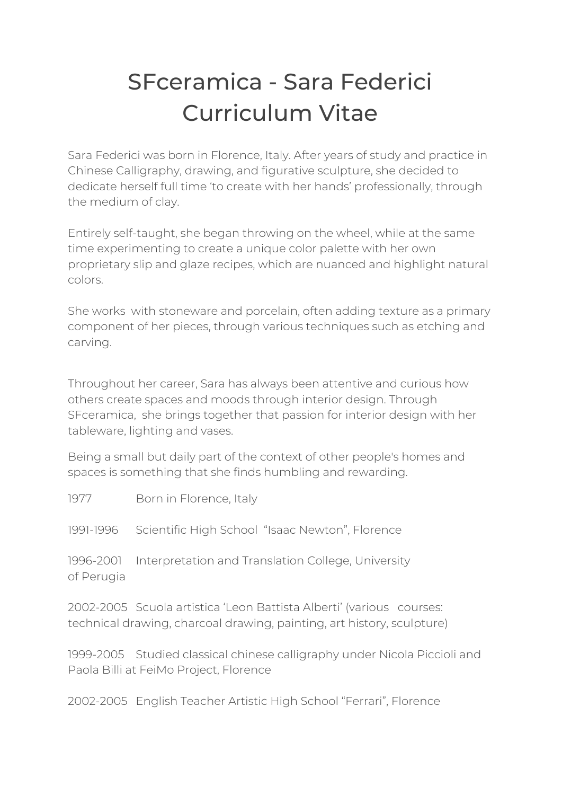## SFceramica - Sara Federici Curriculum Vitae

Sara Federici was born in Florence, Italy. After years of study and practice in Chinese Calligraphy, drawing, and figurative sculpture, she decided to dedicate herself full time 'to create with her hands' professionally, through the medium of clay.

Entirely self-taught, she began throwing on the wheel, while at the same time experimenting to create a unique color palette with her own proprietary slip and glaze recipes, which are nuanced and highlight natural colors.

She works with stoneware and porcelain, often adding texture as a primary component of her pieces, through various techniques such as etching and carving.

Throughout her career, Sara has always been attentive and curious how others create spaces and moods through interior design. Through SFceramica, she brings together that passion for interior design with her tableware, lighting and vases.

Being a small but daily part of the context of other people's homes and spaces is something that she finds humbling and rewarding.

1977 Born in Florence, Italy

1991-1996 Scientific High School "Isaac Newton", Florence

1996-2001 Interpretation and Translation College, University of Perugia

2002-2005 Scuola artistica 'Leon Battista Alberti' (various courses: technical drawing, charcoal drawing, painting, art history, sculpture)

1999-2005 Studied classical chinese calligraphy under Nicola Piccioli and Paola Billi at FeiMo Project, Florence

2002-2005 English Teacher Artistic High School "Ferrari", Florence